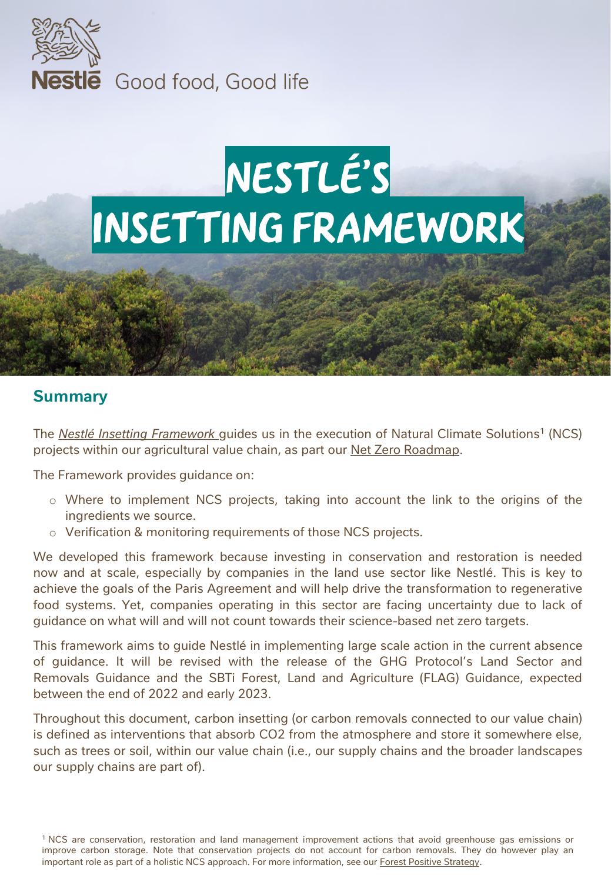

**Nestle** Good food, Good life

# Nestlé's Insetting framework

#### **Summary**

The *Nestlé Insetting [Framework](#page-4-0)* guides us in the execution of Natural Climate Solutions<sup>1</sup> (NCS) projects within our agricultural value chain, as part our **Net Zero [Roadmap](https://www.nestle.com/sites/default/files/2020-12/nestle-net-zero-roadmap-en.pdf)**.

The Framework provides guidance on:

- o Where to implement NCS projects, taking into account the link to the origins of the ingredients we source.
- o Verification & monitoring requirements of those NCS projects.

We developed this framework because investing in conservation and restoration is needed now and at scale, especially by companies in the land use sector like Nestlé. This is key to achieve the goals of the Paris Agreement and will help drive the transformation to regenerative food systems. Yet, companies operating in this sector are facing uncertainty due to lack of guidance on what will and will not count towards their science-based net zero targets.

This framework aims to guide Nestlé in implementing large scale action in the current absence of guidance. It will be revised with the release of the GHG Protocol's Land Sector and Removals Guidance and the SBTi Forest, Land and Agriculture (FLAG) Guidance, expected between the end of 2022 and early 2023.

Throughout this document, carbon insetting (or carbon removals connected to our value chain) is defined as interventions that absorb CO2 from the atmosphere and store it somewhere else, such as trees or soil, within our value chain (i.e., our supply chains and the broader landscapes our supply chains are part of).

<sup>1</sup> NCS are conservation, restoration and land management improvement actions that avoid greenhouse gas emissions or improve carbon storage. Note that conservation projects do not account for carbon removals. They do however play an important role as part of a holistic NCS approach. For more information, see our Forest Positive [Strategy](https://www.nestle.com/sites/default/files/2021-06/nestle-towards-forest-positive-future-report.pdf).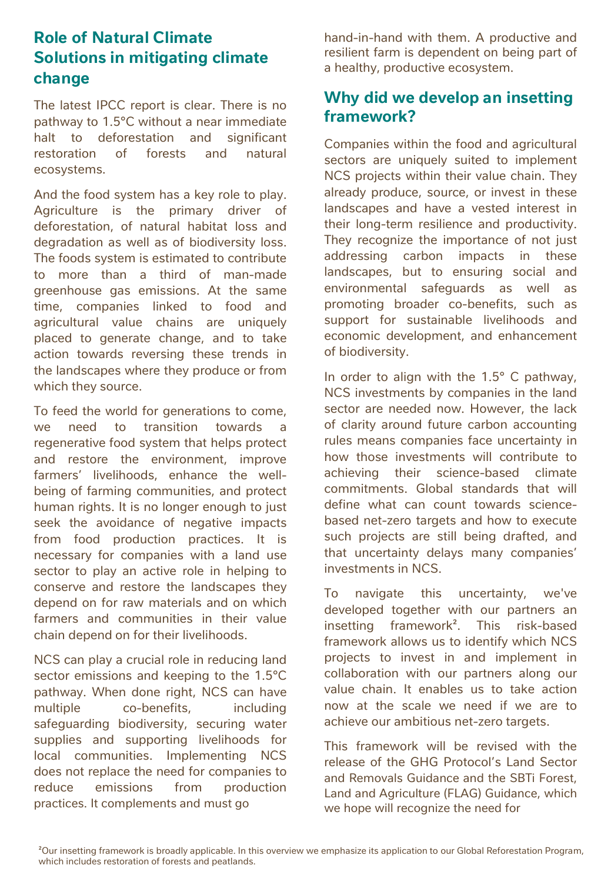## **Role of Natural Climate Solutions in mitigating climate change**

The latest IPCC report is clear. There is no pathway to 1.5°C without a near immediate halt to deforestation and significant restoration of forests and natural ecosystems.

And the food system has a key role to play. Agriculture is the primary driver of deforestation, of natural habitat loss and degradation as well as of biodiversity loss. The foods system is estimated to contribute to more than a third of man-made greenhouse gas emissions. At the same time, companies linked to food and agricultural value chains are uniquely placed to generate change, and to take action towards reversing these trends in the landscapes where they produce or from which they source.

To feed the world for generations to come, we need to transition towards a regenerative food system that helps protect and restore the environment, improve farmers' livelihoods, enhance the wellbeing of farming communities, and protect human rights. It is no longer enough to just seek the avoidance of negative impacts from food production practices. It is necessary for companies with a land use sector to play an active role in helping to conserve and restore the landscapes they depend on for raw materials and on which farmers and communities in their value chain depend on for their livelihoods.

NCS can play a crucial role in reducing land sector emissions and keeping to the 1.5°C pathway. When done right, NCS can have multiple co-benefits, including safeguarding biodiversity, securing water supplies and supporting livelihoods for local communities. Implementing NCS does not replace the need for companies to reduce emissions from production practices. It complements and must go

hand-in-hand with them. A productive and resilient farm is dependent on being part of a healthy, productive ecosystem.

### **Why did we develop an insetting framework?**

Companies within the food and agricultural sectors are uniquely suited to implement NCS projects within their value chain. They already produce, source, or invest in these landscapes and have a vested interest in their long-term resilience and productivity. They recognize the importance of not just addressing carbon impacts in these landscapes, but to ensuring social and environmental safeguards as well as promoting broader co-benefits, such as support for sustainable livelihoods and economic development, and enhancement of biodiversity.

In order to align with the  $1.5^{\circ}$  C pathway, NCS investments by companies in the land sector are needed now. However, the lack of clarity around future carbon accounting rules means companies face uncertainty in how those investments will contribute to achieving their science-based climate commitments. Global standards that will define what can count towards sciencebased net-zero targets and how to execute such projects are still being drafted, and that uncertainty delays many companies' investments in NCS.

To navigate this uncertainty, we've developed together with our partners an insetting framework². This risk-based framework allows us to identify which NCS projects to invest in and implement in collaboration with our partners along our value chain. It enables us to take action now at the scale we need if we are to achieve our ambitious net-zero targets.

This framework will be revised with the release of the GHG Protocol's Land Sector and Removals Guidance and the SBTi Forest, Land and Agriculture (FLAG) Guidance, which we hope will recognize the need for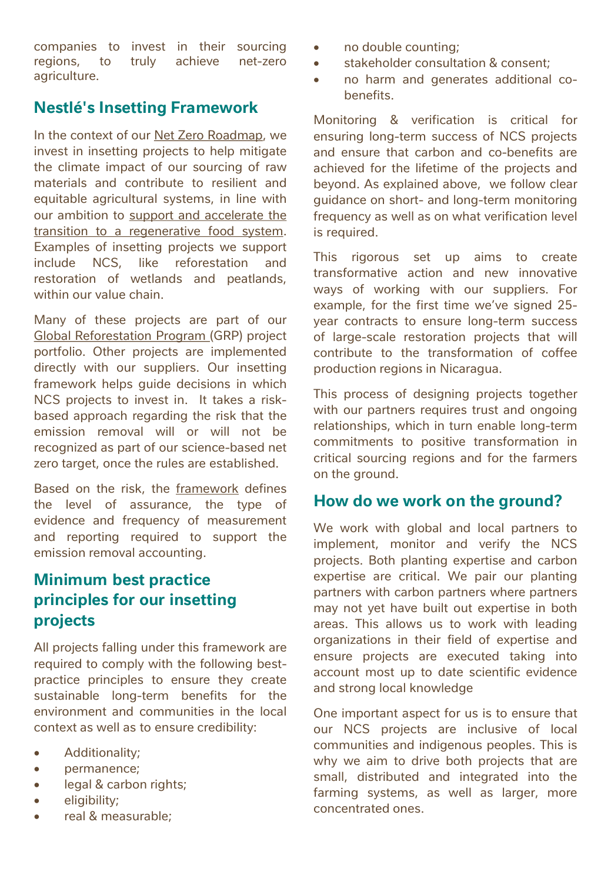companies to invest in their sourcing regions, to truly achieve net-zero agriculture.

### **Nestlé's Insetting Framework**

In the context of our Net Zero [Roadmap](https://www.nestle.com/sites/default/files/2020-12/nestle-net-zero-roadmap-en.pdf), we invest in insetting projects to help mitigate the climate impact of our sourcing of raw materials and contribute to resilient and equitable agricultural systems, in line with our ambition to support and accelerate the transition to a [regenerative](https://www.nestle.com/media/pressreleases/allpressreleases/support-transition-regenerative-food-system) food system. Examples of insetting projects we support include NCS, like reforestation and restoration of wetlands and peatlands, within our value chain.

Many of these projects are part of our Global [Reforestation](https://www.nestle.com/sites/default/files/2022-02/nestle-global-reforestation-program.pdf) Program (GRP) project portfolio. Other projects are implemented directly with our suppliers. Our insetting framework helps guide decisions in which NCS projects to invest in. It takes a riskbased approach regarding the risk that the emission removal will or will not be recognized as part of our science-based net zero target, once the rules are established.

Based on the risk, the [framework](#page-4-0) defines the level of assurance, the type of evidence and frequency of measurement and reporting required to support the emission removal accounting.

# **Minimum best practice principles for our insetting projects**

All projects falling under this framework are required to comply with the following bestpractice principles to ensure they create sustainable long-term benefits for the environment and communities in the local context as well as to ensure credibility:

- Additionality;
- permanence;
- legal & carbon rights;
- eligibility;
- real & measurable;
- no double counting;
- stakeholder consultation & consent;
- no harm and generates additional cobenefits.

Monitoring & verification is critical for ensuring long-term success of NCS projects and ensure that carbon and co-benefits are achieved for the lifetime of the projects and beyond. As explained above, we follow clear guidance on short- and long-term monitoring frequency as well as on what verification level is required.

This rigorous set up aims to create transformative action and new innovative ways of working with our suppliers. For example, for the first time we've signed 25 year contracts to ensure long-term success of large-scale restoration projects that will contribute to the transformation of coffee production regions in Nicaragua.

This process of designing projects together with our partners requires trust and ongoing relationships, which in turn enable long-term commitments to positive transformation in critical sourcing regions and for the farmers on the ground.

#### **How do we work on the ground?**

We work with global and local partners to implement, monitor and verify the NCS projects. Both planting expertise and carbon expertise are critical. We pair our planting partners with carbon partners where partners may not yet have built out expertise in both areas. This allows us to work with leading organizations in their field of expertise and ensure projects are executed taking into account most up to date scientific evidence and strong local knowledge

One important aspect for us is to ensure that our NCS projects are inclusive of local communities and indigenous peoples. This is why we aim to drive both projects that are small, distributed and integrated into the farming systems, as well as larger, more concentrated ones.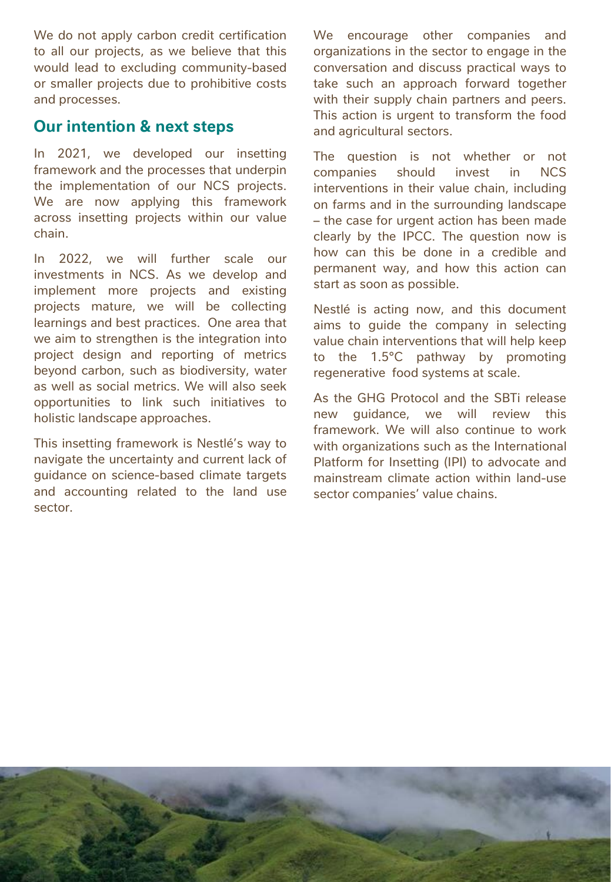We do not apply carbon credit certification to all our projects, as we believe that this would lead to excluding community-based or smaller projects due to prohibitive costs and processes.

#### **Our intention & next steps**

In 2021, we developed our insetting framework and the processes that underpin the implementation of our NCS projects. We are now applying this framework across insetting projects within our value chain.

In 2022, we will further scale our investments in NCS. As we develop and implement more projects and existing projects mature, we will be collecting learnings and best practices. One area that we aim to strengthen is the integration into project design and reporting of metrics beyond carbon, such as biodiversity, water as well as social metrics. We will also seek opportunities to link such initiatives to holistic landscape approaches.

This insetting framework is Nestlé's way to navigate the uncertainty and current lack of guidance on science-based climate targets and accounting related to the land use sector.

We encourage other companies and organizations in the sector to engage in the conversation and discuss practical ways to take such an approach forward together with their supply chain partners and peers. This action is urgent to transform the food and agricultural sectors.

The question is not whether or not companies should invest in NCS interventions in their value chain, including on farms and in the surrounding landscape – the case for urgent action has been made clearly by the IPCC. The question now is how can this be done in a credible and permanent way, and how this action can start as soon as possible.

Nestlé is acting now, and this document aims to guide the company in selecting value chain interventions that will help keep to the 1.5°C pathway by promoting regenerative food systems at scale.

As the GHG Protocol and the SBTi release new guidance, we will review this framework. We will also continue to work with organizations such as the International Platform for Insetting (IPI) to advocate and mainstream climate action within land-use sector companies' value chains.